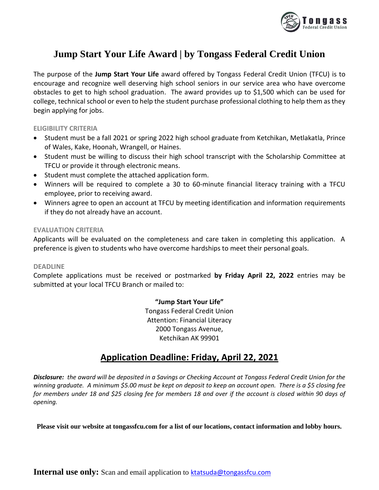

# **Jump Start Your Life Award | by Tongass Federal Credit Union**

The purpose of the **Jump Start Your Life** award offered by Tongass Federal Credit Union (TFCU) is to encourage and recognize well deserving high school seniors in our service area who have overcome obstacles to get to high school graduation. The award provides up to \$1,500 which can be used for college, technical school or even to help the student purchase professional clothing to help them as they begin applying for jobs.

**ELIGIBILITY CRITERIA**

- Student must be a fall 2021 or spring 2022 high school graduate from Ketchikan, Metlakatla, Prince of Wales, Kake, Hoonah, Wrangell, or Haines.
- Student must be willing to discuss their high school transcript with the Scholarship Committee at TFCU or provide it through electronic means.
- Student must complete the attached application form.
- Winners will be required to complete a 30 to 60-minute financial literacy training with a TFCU employee, prior to receiving award.
- Winners agree to open an account at TFCU by meeting identification and information requirements if they do not already have an account.

### **EVALUATION CRITERIA**

Applicants will be evaluated on the completeness and care taken in completing this application. A preference is given to students who have overcome hardships to meet their personal goals.

### **DEADLINE**

Complete applications must be received or postmarked **by Friday April 22, 2022** entries may be submitted at your local TFCU Branch or mailed to:

**"Jump Start Your Life"**

Tongass Federal Credit Union Attention: Financial Literacy 2000 Tongass Avenue, Ketchikan AK 99901

## **Application Deadline: Friday, April 22, 2021**

*Disclosure: the award will be deposited in a Savings or Checking Account at Tongass Federal Credit Union for the winning graduate. A minimum \$5.00 must be kept on deposit to keep an account open. There is a \$5 closing fee for members under 18 and \$25 closing fee for members 18 and over if the account is closed within 90 days of opening.*

**Please visit our website at tongassfcu.com for a list of our locations, contact information and lobby hours.**